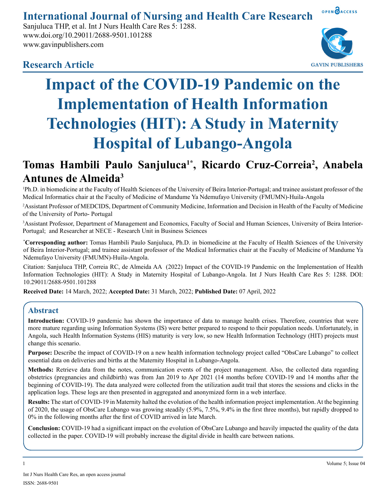#### OPEN OACCESS **International Journal of Nursing and Health Care Research**

Sanjuluca THP, et al. Int J Nurs Health Care Res 5: 1288. www.doi.org/10.29011/2688-9501.101288 www.gavinpublishers.com



# **Research Article**



# **Tomas Hambili Paulo Sanjuluca1\*, Ricardo Cruz-Correia2 , Anabela Antunes de Almeida3**

1 Ph.D. in biomedicine at the Faculty of Health Sciences of the University of Beira Interior-Portugal; and trainee assistant professor of the Medical Informatics chair at the Faculty of Medicine of Mandume Ya Ndemufayo University (FMUMN)-Huila-Angola

2 Assistant Professor of MEDCIDS, Department of Community Medicine, Information and Decision in Health of the Faculty of Medicine of the University of Porto- Portugal

3 Assistant Professor, Department of Management and Economics, Faculty of Social and Human Sciences, University of Beira Interior-Portugal; and Researcher at NECE - Research Unit in Business Sciences

**\* Corresponding author:** Tomas Hambili Paulo Sanjuluca, Ph.D. in biomedicine at the Faculty of Health Sciences of the University of Beira Interior-Portugal; and trainee assistant professor of the Medical Informatics chair at the Faculty of Medicine of Mandume Ya Ndemufayo University (FMUMN)-Huila-Angola.

Citation: Sanjuluca THP, Correia RC, de Almeida AA (2022) Impact of the COVID-19 Pandemic on the Implementation of Health Information Technologies (HIT): A Study in Maternity Hospital of Lubango-Angola. Int J Nurs Health Care Res 5: 1288. DOI: 10.29011/2688-9501.101288

**Received Date:** 14 March, 2022; **Accepted Date:** 31 March, 2022; **Published Date:** 07 April, 2022

# **Abstract**

**Introduction:** COVID-19 pandemic has shown the importance of data to manage health crises. Therefore, countries that were more mature regarding using Information Systems (IS) were better prepared to respond to their population needs. Unfortunately, in Angola, such Health Information Systems (HIS) maturity is very low, so new Health Information Technology (HIT) projects must change this scenario.

**Purpose:** Describe the impact of COVID-19 on a new health information technology project called "ObsCare Lubango" to collect essential data on deliveries and births at the Maternity Hospital in Lubango-Angola.

**Methods:** Retrieve data from the notes, communication events of the project management. Also, the collected data regarding obstetrics (pregnancies and childbirth) was from Jan 2019 to Apr 2021 (14 months before COVID-19 and 14 months after the beginning of COVID-19). The data analyzed were collected from the utilization audit trail that stores the sessions and clicks in the application logs. These logs are then presented in aggregated and anonymized form in a web interface.

**Results:** The start of COVID-19 in Maternity halted the evolution of the health information project implementation. At the beginning of 2020, the usage of ObsCare Lubango was growing steadily (5.9%, 7.5%, 9.4% in the first three months), but rapidly dropped to 0% in the following months after the first of COVID arrived in late March.

**Conclusion:** COVID-19 had a significant impact on the evolution of ObsCare Lubango and heavily impacted the quality of the data collected in the paper. COVID-19 will probably increase the digital divide in health care between nations.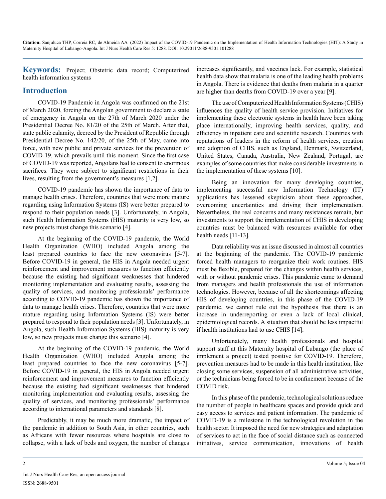**Keywords:** Project; Obstetric data record; Computerized health information systems

# **Introduction**

COVID-19 Pandemic in Angola was confirmed on the 21st of March 2020, forcing the Angolan government to declare a state of emergency in Angola on the 27th of March 2020 under the Presidential Decree No. 81/20 of the 25th of March. After that, state public calamity, decreed by the President of Republic through Presidential Decree No. 142/20, of the 25th of May, came into force, with new public and private services for the prevention of COVID-19, which prevails until this moment. Since the first case of COVID-19 was reported, Angolans had to consent to enormous sacrifices. They were subject to significant restrictions in their lives, resulting from the government's measures [1,2].

COVID-19 pandemic has shown the importance of data to manage health crises. Therefore, countries that were more mature regarding using Information Systems (IS) were better prepared to respond to their population needs [3]. Unfortunately, in Angola, such Health Information Systems (HIS) maturity is very low, so new projects must change this scenario [4].

At the beginning of the COVID-19 pandemic, the World Health Organization (WHO) included Angola among the least prepared countries to face the new coronavirus [5-7]. Before COVID-19 in general, the HIS in Angola needed urgent reinforcement and improvement measures to function efficiently because the existing had significant weaknesses that hindered monitoring implementation and evaluating results, assessing the quality of services, and monitoring professionals' performance according to COVID-19 pandemic has shown the importance of data to manage health crises. Therefore, countries that were more mature regarding using Information Systems (IS) were better prepared to respond to their population needs [3]. Unfortunately, in Angola, such Health Information Systems (HIS) maturity is very low, so new projects must change this scenario [4].

At the beginning of the COVID-19 pandemic, the World Health Organization (WHO) included Angola among the least prepared countries to face the new coronavirus [5-7]. Before COVID-19 in general, the HIS in Angola needed urgent reinforcement and improvement measures to function efficiently because the existing had significant weaknesses that hindered monitoring implementation and evaluating results, assessing the quality of services, and monitoring professionals' performance according to international parameters and standards [8].

Predictably, it may be much more dramatic, the impact of the pandemic in addition to South Asia, in other countries, such as Africans with fewer resources where hospitals are close to collapse, with a lack of beds and oxygen, the number of changes

increases significantly, and vaccines lack. For example, statistical health data show that malaria is one of the leading health problems in Angola. There is evidence that deaths from malaria in a quarter are higher than deaths from COVID-19 over a year [9].

The use of Computerized Health Information Systems (CHIS) influences the quality of health service provision. Initiatives for implementing these electronic systems in health have been taking place internationally, improving health services, quality, and efficiency in inpatient care and scientific research. Countries with reputations of leaders in the reform of health services, creation and adoption of CHIS, such as England, Denmark, Switzerland, United States, Canada, Australia, New Zealand, Portugal, are examples of some countries that make considerable investments in the implementation of these systems [10].

Being an innovation for many developing countries, implementing successful new Information Technology (IT) applications has lessened skepticism about these approaches, overcoming uncertainties and driving their implementation. Nevertheless, the real concerns and many resistances remain, but investments to support the implementation of CHIS in developing countries must be balanced with resources available for other health needs [11-13].

Data reliability was an issue discussed in almost all countries at the beginning of the pandemic. The COVID-19 pandemic forced health managers to reorganize their work routines. HIS must be flexible, prepared for the changes within health services, with or without pandemic crises. This pandemic came to demand from managers and health professionals the use of information technologies. However, because of all the shortcomings affecting HIS of developing countries, in this phase of the COVID-19 pandemic, we cannot rule out the hypothesis that there is an increase in underreporting or even a lack of local clinical, epidemiological records. A situation that should be less impactful if health institutions had to use CHIS [14].

Unfortunately, many health professionals and hospital support staff at this Maternity hospital of Lubango (the place of implement a project) tested positive for COVID-19. Therefore, prevention measures had to be made in this health institution, like closing some services, suspension of all administrative activities, or the technicians being forced to be in confinement because of the COVID risk.

In this phase of the pandemic, technological solutions reduce the number of people in healthcare spaces and provide quick and easy access to services and patient information. The pandemic of COVID-19 is a milestone in the technological revolution in the health sector. It imposed the need for new strategies and adaptation of services to act in the face of social distance such as connected initiatives, service communication, innovations of health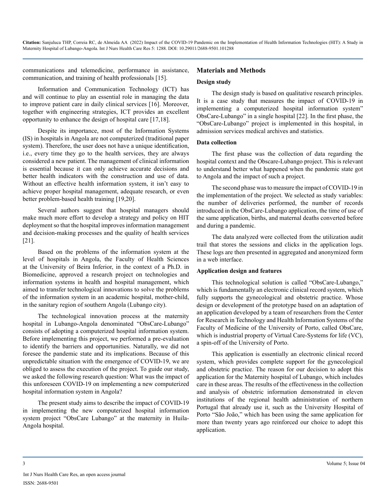communications and telemedicine, performance in assistance, communication, and training of health professionals [15].

Information and Communication Technology (ICT) has and will continue to play an essential role in managing the data to improve patient care in daily clinical services [16]. Moreover, together with engineering strategies, ICT provides an excellent opportunity to enhance the design of hospital care [17,18].

Despite its importance, most of the Information Systems (IS) in hospitals in Angola are not computerized (traditional paper system). Therefore, the user does not have a unique identification, i.e., every time they go to the health services, they are always considered a new patient. The management of clinical information is essential because it can only achieve accurate decisions and better health indicators with the construction and use of data. Without an effective health information system, it isn't easy to achieve proper hospital management, adequate research, or even better problem-based health training [19,20].

Several authors suggest that hospital managers should make much more effort to develop a strategy and policy on HIT deployment so that the hospital improves information management and decision-making processes and the quality of health services [21].

Based on the problems of the information system at the level of hospitals in Angola, the Faculty of Health Sciences at the University of Beira Inferior, in the context of a Ph.D. in Biomedicine, approved a research project on technologies and information systems in health and hospital management, which aimed to transfer technological innovations to solve the problems of the information system in an academic hospital, mother-child, in the sanitary region of southern Angola (Lubango city).

The technological innovation process at the maternity hospital in Lubango-Angola denominated "ObsCare-Lubango" consists of adopting a computerized hospital information system. Before implementing this project, we performed a pre-evaluation to identify the barriers and opportunities. Naturally, we did not foresee the pandemic state and its implications. Because of this unpredictable situation with the emergence of COVID-19, we are obliged to assess the execution of the project. To guide our study, we asked the following research question: What was the impact of this unforeseen COVID-19 on implementing a new computerized hospital information system in Angola?

The present study aims to describe the impact of COVID-19 in implementing the new computerized hospital information system project "ObsCare Lubango" at the maternity in Huila-Angola hospital.

#### **Materials and Methods**

#### **Design study**

The design study is based on qualitative research principles. It is a case study that measures the impact of COVID-19 in implementing a computerized hospital information system" ObsCare-Lubango" in a single hospital [22]. In the first phase, the "ObsCare-Lubango" project is implemented in this hospital, in admission services medical archives and statistics.

#### **Data collection**

The first phase was the collection of data regarding the hospital context and the Obscare-Lubango project. This is relevant to understand better what happened when the pandemic state got to Angola and the impact of such a project.

The second phase was to measure the impact of COVID-19 in the implementation of the project. We selected as study variables: the number of deliveries performed, the number of records introduced in the ObsCare-Lubango application, the time of use of the same application, births, and maternal deaths converted before and during a pandemic.

The data analyzed were collected from the utilization audit trail that stores the sessions and clicks in the application logs. These logs are then presented in aggregated and anonymized form in a web interface.

#### **Application design and features**

This technological solution is called "ObsCare-Lubango," which is fundamentally an electronic clinical record system, which fully supports the gynecological and obstetric practice. Whose design or development of the prototype based on an adaptation of an application developed by a team of researchers from the Center for Research in Technology and Health Information Systems of the Faculty of Medicine of the University of Porto, called ObsCare, which is industrial property of Virtual Care-Systems for life (VC), a spin-off of the University of Porto.

This application is essentially an electronic clinical record system, which provides complete support for the gynecological and obstetric practice. The reason for our decision to adopt this application for the Maternity hospital of Lubango, which includes care in these areas. The results of the effectiveness in the collection and analysis of obstetric information demonstrated in eleven institutions of the regional health administration of northern Portugal that already use it, such as the University Hospital of Porto "São João," which has been using the same application for more than twenty years ago reinforced our choice to adopt this application.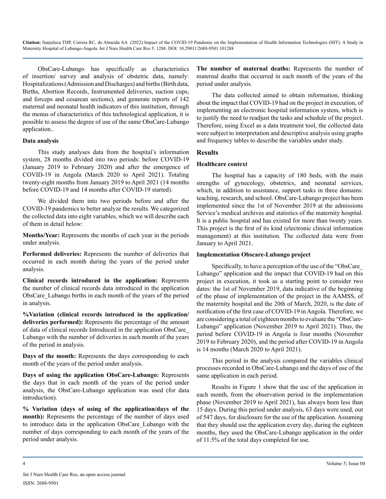ObsCare-Lubango has specifically as characteristics of insertion/ survey and analysis of obstetric data, namely: Hospitalizations (Admission and Discharges) and births (Birth data, Births, Abortion Records, Instrumented deliveries, suction cups, and forceps and cesarean sections), and generate reports of 142 maternal and neonatal health indicators of this institution, through the menus of characteristics of this technological application, it is possible to assess the degree of use of the same ObsCare-Lubango application..

#### **Data analysis**

This study analyses data from the hospital's information system, 28 months divided into two periods: before COVID-19 (January 2019 to February 2020) and after the emergence of COVID-19 in Angola (March 2020 to April 2021). Totaling twenty-eight months from January 2019 to April 2021 (14 months before COVID-19 and 14 months after COVID-19 started).

We divided them into two periods before and after the COVID-19 pandemics to better analyze the results. We categorized the collected data into eight variables, which we will describe each of them in detail below:

**Months/Year:** Represents the months of each year in the periods under analysis.

**Performed deliveries:** Represents the number of deliveries that occurred in each month during the years of the period under analysis.

**Clinical records introduced in the application:** Represents the number of clinical records data introduced in the application ObsCare\_Lubango births in each month of the years of the period in analysis.

**%Variation (clinical records introduced in the application/ deliveries performed):** Represents the percentage of the amount of data of clinical records Introduced in the application ObsCare\_ Lubango with the number of deliveries in each month of the years of the period in analysis.

**Days of the month:** Represents the days corresponding to each month of the years of the period under analysis.

**Days of using the application ObsCare-Lubango:** Represents the days that in each month of the years of the period under analysis, the ObsCare-Lubango application was used (for data introduction).

**% Variation (days of using of the application/days of the month):** Represents the percentage of the number of days used to introduce data in the application ObsCare\_Lubango with the number of days corresponding to each month of the years of the period under analysis.

**The number of maternal deaths:** Represents the number of maternal deaths that occurred in each month of the years of the period under analysis.

The data collected aimed to obtain information, thinking about the impact that COVID-19 had on the project in execution, of implementing an electronic hospital information system, which is to justify the need to readjust the tasks and schedule of the project. Therefore, using Excel as a data treatment tool, the collected data were subject to interpretation and descriptive analysis using graphs and frequency tables to describe the variables under study.

#### **Results**

#### **Healthcare context**

The hospital has a capacity of 180 beds, with the main strengths of gynecology, obstetrics, and neonatal services, which, in addition to assistance, support tasks in three domains: teaching, research, and school. ObsCare-Lubango project has been implemented since the 1st of November 2019 at the admissions Service's medical archives and statistics of the maternity hospital. It is a public hospital and has existed for more than twenty years. This project is the first of its kind (electronic clinical information management) at this institution. The collected data were from January to April 2021.

#### **Implementation Obscare-Lubango project**

Specifically, to have a perception of the use of the "ObsCare Lubango" application and the impact that COVID-19 had on this project in execution, it took as a starting point to consider two dates: the 1st of November 2019, data indicative of the beginning of the phase of implementation of the project in the AAMSS, of the maternity hospital and the 20th of March, 2020, is the date of notification of the first case of COVID-19 in Angola. Therefore, we are considering a total of eighteen months to evaluate the "ObsCare-Lubango" application (November 2019 to April 2021). Thus, the period before COVID-19 in Angola is four months (November 2019 to February 2020), and the period after COVID-19 in Angola is 14 months (March 2020 to April 2021).

This period in the analysis compared the variables clinical processes recorded in ObsCare-Lubango and the days of use of the same application in each period.

Results in Figure 1 show that the use of the application in each month, from the observation period in the implementation phase (November 2019 to April 2021), has always been less than 15 days. During this period under analysis, 63 days were used, out of 547 days, for disclosure for the use of the application. Assuming that they should use the application every day, during the eighteen months, they used the ObsCare-Lubango application in the order of 11.5% of the total days completed for use.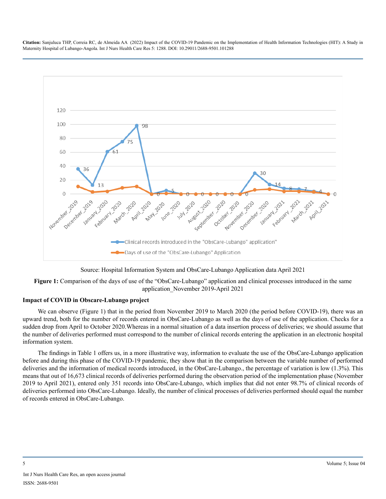

Source: Hospital Information System and ObsCare-Lubango Application data April 2021

**Figure 1:** Comparison of the days of use of the "ObsCare-Lubango" application and clinical processes introduced in the same application\_November 2019-April 2021

#### **Impact of COVID in Obscare-Lubango project**

We can observe (Figure 1) that in the period from November 2019 to March 2020 (the period before COVID-19), there was an upward trend, both for the number of records entered in ObsCare-Lubango as well as the days of use of the application. Checks for a sudden drop from April to October 2020.Whereas in a normal situation of a data insertion process of deliveries; we should assume that the number of deliveries performed must correspond to the number of clinical records entering the application in an electronic hospital information system.

The findings in Table 1 offers us, in a more illustrative way, information to evaluate the use of the ObsCare-Lubango application before and during this phase of the COVID-19 pandemic, they show that in the comparison between the variable number of performed deliveries and the information of medical records introduced, in the ObsCare-Lubango., the percentage of variation is low (1.3%). This means that out of 16,673 clinical records of deliveries performed during the observation period of the implementation phase (November 2019 to April 2021), entered only 351 records into ObsCare-Lubango, which implies that did not enter 98.7% of clinical records of deliveries performed into ObsCare-Lubango. Ideally, the number of clinical processes of deliveries performed should equal the number of records entered in ObsCare-Lubango.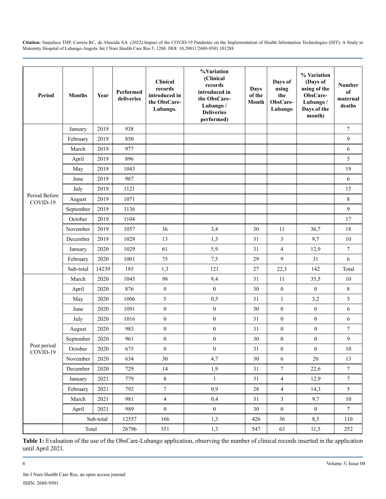| Period                    | <b>Months</b> | Year  | Performed<br>deliveries | Clinical<br>records<br>introduced in<br>the ObsCare-<br>Lubango. | %Variation<br>(Clinical<br>records<br>introduced in<br>the ObsCare-<br>Lubango /<br><b>Deliveries</b><br>performed) | Days<br>of the<br>Month | Days of<br>using<br>the<br>ObsCare-<br>Lubango | % Variation<br>(Days of<br>using of the<br>ObsCare-<br>Lubango /<br>Days of the<br>month) | <b>Number</b><br>of<br>maternal<br>deaths |
|---------------------------|---------------|-------|-------------------------|------------------------------------------------------------------|---------------------------------------------------------------------------------------------------------------------|-------------------------|------------------------------------------------|-------------------------------------------------------------------------------------------|-------------------------------------------|
| Period Before<br>COVID-19 | January       | 2019  | 938                     |                                                                  |                                                                                                                     |                         |                                                |                                                                                           | $\tau$                                    |
|                           | February      | 2019  | 850                     |                                                                  |                                                                                                                     |                         |                                                |                                                                                           | 9                                         |
|                           | March         | 2019  | 977                     |                                                                  |                                                                                                                     |                         |                                                |                                                                                           | 6                                         |
|                           | April         | 2019  | 896                     |                                                                  |                                                                                                                     |                         |                                                |                                                                                           | 5                                         |
|                           | May           | 2019  | 1043                    |                                                                  |                                                                                                                     |                         |                                                |                                                                                           | 19                                        |
|                           | June          | 2019  | 987                     |                                                                  |                                                                                                                     |                         |                                                |                                                                                           | $\sqrt{6}$                                |
|                           | July          | 2019  | 1121                    |                                                                  |                                                                                                                     |                         |                                                |                                                                                           | 15                                        |
|                           | August        | 2019  | 1071                    |                                                                  |                                                                                                                     |                         |                                                |                                                                                           | $\,8\,$                                   |
|                           | September     | 2019  | 1136                    |                                                                  |                                                                                                                     |                         |                                                |                                                                                           | $\mathfrak{g}$                            |
|                           | October       | 2019  | 1104                    |                                                                  |                                                                                                                     |                         |                                                |                                                                                           | 17                                        |
|                           | November      | 2019  | 1057                    | 36                                                               | 3,4                                                                                                                 | 30                      | 11                                             | 36,7                                                                                      | 18                                        |
|                           | December      | 2019  | 1029                    | 13                                                               | 1,3                                                                                                                 | 31                      | $\mathfrak{Z}$                                 | 9,7                                                                                       | 10                                        |
|                           | January       | 2020  | 1029                    | 61                                                               | 5,9                                                                                                                 | 31                      | $\overline{4}$                                 | 12,9                                                                                      | $\tau$                                    |
|                           | February      | 2020  | 1001                    | 75                                                               | 7,5                                                                                                                 | 29                      | 9                                              | 31                                                                                        | 6                                         |
|                           | Sub-total     | 14239 | 185                     | 1,3                                                              | 121                                                                                                                 | 27                      | 22,3                                           | 142                                                                                       | Total                                     |
| Post period<br>$COVID-19$ | March         | 2020  | 1045                    | 98                                                               | 9,4                                                                                                                 | 31                      | 11                                             | 35,5                                                                                      | 10                                        |
|                           | April         | 2020  | 876                     | $\boldsymbol{0}$                                                 | $\boldsymbol{0}$                                                                                                    | 30                      | $\boldsymbol{0}$                               | $\boldsymbol{0}$                                                                          | $\,8\,$                                   |
|                           | May           | 2020  | 1006                    | 5                                                                | 0,5                                                                                                                 | 31                      | $\mathbf{1}$                                   | 3,2                                                                                       | 5                                         |
|                           | June          | 2020  | 1091                    | $\boldsymbol{0}$                                                 | $\boldsymbol{0}$                                                                                                    | 30                      | $\boldsymbol{0}$                               | $\boldsymbol{0}$                                                                          | 6                                         |
|                           | July          | 2020  | 1016                    | $\boldsymbol{0}$                                                 | $\boldsymbol{0}$                                                                                                    | 31                      | $\boldsymbol{0}$                               | $\boldsymbol{0}$                                                                          | 6                                         |
|                           | August        | 2020  | 983                     | $\boldsymbol{0}$                                                 | $\boldsymbol{0}$                                                                                                    | 31                      | $\boldsymbol{0}$                               | $\boldsymbol{0}$                                                                          | $\boldsymbol{7}$                          |
|                           | September     | 2020  | 961                     | $\boldsymbol{0}$                                                 | $\boldsymbol{0}$                                                                                                    | 30                      | $\boldsymbol{0}$                               | $\boldsymbol{0}$                                                                          | 9                                         |
|                           | October       | 2020  | 675                     | $\mathbf{0}$                                                     | $\mathbf{0}$                                                                                                        | 31                      | $\mathbf{0}$                                   | $\boldsymbol{0}$                                                                          | 10                                        |
|                           | November      | 2020  | 634                     | 30                                                               | 4,7                                                                                                                 | 30                      | 6                                              | 20                                                                                        | 13                                        |
|                           | December      | 2020  | 729                     | 14                                                               | 1,9                                                                                                                 | 31                      | $\overline{7}$                                 | 22,6                                                                                      | $\boldsymbol{7}$                          |
|                           | January       | 2021  | 779                     | $\,8\,$                                                          | $\mathbf{1}$                                                                                                        | 31                      | $\overline{4}$                                 | 12,9                                                                                      | $\overline{7}$                            |
|                           | February      | 2021  | 792                     | $\boldsymbol{7}$                                                 | 0,9                                                                                                                 | 28                      | $\overline{4}$                                 | 14,3                                                                                      | 5                                         |
|                           | March         | 2021  | 981                     | $\overline{4}$                                                   | 0,4                                                                                                                 | 31                      | $\mathfrak{Z}$                                 | 9,7                                                                                       | $10\,$                                    |
|                           | April         | 2021  | 989                     | $\boldsymbol{0}$                                                 | $\boldsymbol{0}$                                                                                                    | 30                      | $\mathbf{0}$                                   | $\overline{0}$                                                                            | $7\phantom{.0}$                           |
|                           | Sub-total     |       | 12557                   | 166                                                              | 1,3                                                                                                                 | 426                     | 36                                             | 8,5                                                                                       | 110                                       |
|                           | Total         |       | 26796                   | 351                                                              | 1,3                                                                                                                 | 547                     | 63                                             | 11,5                                                                                      | 252                                       |

Table 1: Evaluation of the use of the ObsCare-Lubango application, observing the number of clinical records inserted in the application until April 2021.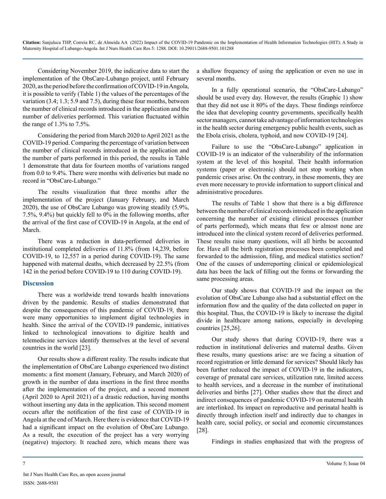Considering November 2019, the indicative data to start the implementation of the ObsCare-Lubango project, until February 2020, as the period before the confirmation of COVID-19 in Angola, it is possible to verify (Table 1) the values of the percentages of the variation (3.4; 1.3; 5.9 and 7.5), during these four months, between the number of clinical records introduced in the application and the number of deliveries performed. This variation fluctuated within the range of 1.3% to 7.5%.

Considering the period from March 2020 to April 2021 as the COVID-19 period. Comparing the percentage of variation between the number of clinical records introduced in the application and the number of parts performed in this period, the results in Table 1 demonstrate that data for fourteen months of variations ranged from 0.0 to 9.4%. There were months with deliveries but made no record in "ObsCare-Lubango."

The results visualization that three months after the implementation of the project (January February, and March 2020), the use of ObsCare Lubango was growing steadily (5.9%, 7.5%, 9.4%) but quickly fell to 0% in the following months, after the arrival of the first case of COVID-19 in Angola, at the end of March.

There was a reduction in data-performed deliveries in institutional completed deliveries of 11.8% (from 14,239, before COVID-19, to 12,557 in a period during COVID-19). The same happened with maternal deaths, which decreased by 22.5% (from 142 in the period before COVID-19 to 110 during COVID-19).

#### **Discussion**

There was a worldwide trend towards health innovations driven by the pandemic. Results of studies demonstrated that despite the consequences of this pandemic of COVID-19, there were many opportunities to implement digital technologies in health. Since the arrival of the COVID-19 pandemic, initiatives linked to technological innovations to digitize health and telemedicine services identify themselves at the level of several countries in the world [23].

Our results show a different reality. The results indicate that the implementation of ObsCare Lubango experienced two distinct moments: a first moment (January, February, and March 2020) of growth in the number of data insertions in the first three months after the implementation of the project, and a second moment (April 2020 to April 2021) of a drastic reduction, having months without inserting any data in the application. This second moment occurs after the notification of the first case of COVID-19 in Angola at the end of March. Here there is evidence that COVID-19 had a significant impact on the evolution of ObsCare Lubango. As a result, the execution of the project has a very worrying (negative) trajectory. It reached zero, which means there was

a shallow frequency of using the application or even no use in several months.

In a fully operational scenario, the "ObsCare-Lubango" should be used every day. However, the results (Graphic 1) show that they did not use it 80% of the days. These findings reinforce the idea that developing country governments, specifically health sector managers, cannot take advantage of information technologies in the health sector during emergency public health events, such as the Ebola crisis, cholera, typhoid, and now COVID-19 [24].

Failure to use the "ObsCare-Lubango" application in COVID-19 is an indicator of the vulnerability of the information system at the level of this hospital. Their health information systems (paper or electronic) should not stop working when pandemic crises arise. On the contrary, in these moments, they are even more necessary to provide information to support clinical and administrative procedures.

The results of Table 1 show that there is a big difference between the number of clinical records introduced in the application concerning the number of existing clinical processes (number of parts performed), which means that few or almost none are introduced into the clinical system record of deliveries performed. These results raise many questions, will all births be accounted for. Have all the birth registration processes been completed and forwarded to the admission, filing, and medical statistics section? One of the causes of underreporting clinical or epidemiological data has been the lack of filling out the forms or forwarding the same processing areas.

Our study shows that COVID-19 and the impact on the evolution of ObsCare Lubango also had a substantial effect on the information flow and the quality of the data collected on paper in this hospital. Thus, the COVID-19 is likely to increase the digital divide in healthcare among nations, especially in developing countries [25,26].

Our study shows that during COVID-19, there was a reduction in institutional deliveries and maternal deaths. Given these results, many questions arise: are we facing a situation of record registration or little demand for services? Should likely has been further reduced the impact of COVID-19 in the indicators, coverage of prenatal care services, utilization rate, limited access to health services, and a decrease in the number of institutional deliveries and births [27]. Other studies show that the direct and indirect consequences of pandemic COVID-19 on maternal health are interlinked. Its impact on reproductive and perinatal health is directly through infection itself and indirectly due to changes in health care, social policy, or social and economic circumstances [28].

Findings in studies emphasized that with the progress of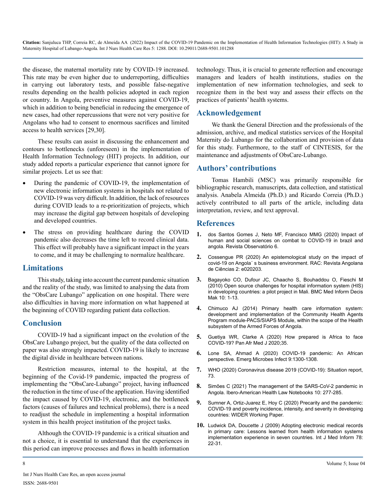the disease, the maternal mortality rate by COVID-19 increased. This rate may be even higher due to underreporting, difficulties in carrying out laboratory tests, and possible false-negative results depending on the health policies adopted in each region or country. In Angola, preventive measures against COVID-19, which in addition to being beneficial in reducing the emergence of new cases, had other repercussions that were not very positive for Angolans who had to consent to enormous sacrifices and limited access to health services [29,30].

These results can assist in discussing the enhancement and contours to bottlenecks (unforeseen) in the implementation of Health Information Technology (HIT) projects. In addition, our study added reports a particular experience that cannot ignore for similar projects. Let us see that:

- During the pandemic of COVID-19, the implementation of new electronic information systems in hospitals not related to COVID-19 was very difficult. In addition, the lack of resources during COVID leads to a re-prioritization of projects, which may increase the digital gap between hospitals of developing and developed countries.
- The stress on providing healthcare during the COVID pandemic also decreases the time left to record clinical data. This effect will probably have a significant impact in the years to come, and it may be challenging to normalize healthcare.

# **Limitations**

This study, taking into account the current pandemic situation and the reality of the study, was limited to analysing the data from the "ObsCare Lubango" application on one hospital. There were also difficulties in having more information on what happened at the beginning of COVID regarding patient data collection.

# **Conclusion**

COVID-19 had a significant impact on the evolution of the ObsCare Lubango project, but the quality of the data collected on paper was also strongly impacted. COVID-19 is likely to increase the digital divide in healthcare between nations.

Restriction measures, internal to the hospital, at the beginning of the Covid-19 pandemic, impacted the progress of implementing the "ObsCare-Lubango" project, having influenced the reduction in the time of use of the application. Having identified the impact caused by COVID-19, electronic, and the bottleneck factors (causes of failures and technical problems), there is a need to readjust the schedule in implementing a hospital information system in this health project institution of the project tasks.

Although the COVID-19 pandemic is a critical situation and not a choice, it is essential to understand that the experiences in this period can improve processes and flows in health information technology. Thus, it is crucial to generate reflection and encourage managers and leaders of health institutions, studies on the implementation of new information technologies, and seek to recognize them in the best way and assess their effects on the practices of patients' health systems.

# **Acknowledgement**

We thank the General Direction and the professionals of the admission, archive, and medical statistics services of the Hospital Maternity do Lubango for the collaboration and provision of data for this study. Furthermore, to the staff of CINTESIS, for the maintenance and adjustments of ObsCare-Lubango.

# **Authors' contributions**

Tomas Hambili (MSC) was primarily responsible for bibliographic research, manuscripts, data collection, and statistical analysis. Anabela Almeida (Ph.D.) and Ricardo Correia (Ph.D.) actively contributed to all parts of the article, including data interpretation, review, and text approval.

# **References**

- **1.** [dos Santos Gomes J, Neto MF, Francisco MMG \(2020\) Impact of](https://sistemas.uft.edu.br/periodicos/index.php/observatorio/article/view/10476) [human and social sciences on combat to COVID-19 in brazil and](https://sistemas.uft.edu.br/periodicos/index.php/observatorio/article/view/10476)  [angola. Revista Observatório 6.](https://sistemas.uft.edu.br/periodicos/index.php/observatorio/article/view/10476)
- **2.** [Cossengue PR \(2020\) An epistemological study on the impact of](http://publicacoes.scientia.co.ao/ojs2/index.php/rac/article/view/98)  [covid-19 on Angola´ s business environment. RAC: Revista Angolana](http://publicacoes.scientia.co.ao/ojs2/index.php/rac/article/view/98)  [de Ciências 2: e020203.](http://publicacoes.scientia.co.ao/ojs2/index.php/rac/article/view/98)
- **3.** [Bagayoko CO, Dufour JC, Chaacho S, Bouhaddou O, Fieschi M](https://pubmed.ncbi.nlm.nih.gov/20398366/) [\(2010\) Open source challenges for hospital information system \(HIS\)](https://pubmed.ncbi.nlm.nih.gov/20398366/)  [in developing countries: a pilot project in Mali. BMC Med Inform Decis](https://pubmed.ncbi.nlm.nih.gov/20398366/)  [Mak 10: 1-13.](https://pubmed.ncbi.nlm.nih.gov/20398366/)
- **4.** Chimuco AJ (2014) Primary health care information system: development and implementation of the Community Health Agents Program module-PACS/SIAPS Module, within the scope of the Health subsystem of the Armed Forces of Angola.
- **5.** [Guetiya WR, Clarke A \(2020\) How prepared is Africa to face](https://www.ncbi.nlm.nih.gov/pmc/articles/PMC7266480/)  [COVID-19? Pan Afr Med J 2020;35.](https://www.ncbi.nlm.nih.gov/pmc/articles/PMC7266480/)
- **6.** [Lone SA, Ahmad A \(2020\) COVID-19 pandemic: An African](https://pubmed.ncbi.nlm.nih.gov/32458760/)  [perspective. Emerg Microbes Infect 9:1300-1308.](https://pubmed.ncbi.nlm.nih.gov/32458760/)
- **7.** [WHO \(2020\) Coronavirus disease 2019 \(COVID-19\): Situation report,](https://apps.who.int/iris/handle/10665/331686)  [73.](https://apps.who.int/iris/handle/10665/331686)
- **8.** Simões C (2021) The management of the SARS-CoV-2 pandemic in Angola. Ibero-American Health Law Notebooks 10: 277-285.
- **9.** [Sumner A, Ortiz-Juarez E, Hoy C \(2020\) Precarity and the pandemic:](https://ideas.repec.org/p/unu/wpaper/wp-2020-77.html)  [COVID-19 and poverty incidence, intensity, and severity in developing](https://ideas.repec.org/p/unu/wpaper/wp-2020-77.html)  [countries: WIDER Working Paper.](https://ideas.repec.org/p/unu/wpaper/wp-2020-77.html)
- **10.** [Ludwick DA, Doucette J \(2009\) Adopting electronic medical records](https://pubmed.ncbi.nlm.nih.gov/18644745/)  [in primary care: Lessons learned from health information systems](https://pubmed.ncbi.nlm.nih.gov/18644745/)  [implementation experience in seven countries. Int J Med Inform 78:](https://pubmed.ncbi.nlm.nih.gov/18644745/)  [22-31.](https://pubmed.ncbi.nlm.nih.gov/18644745/)